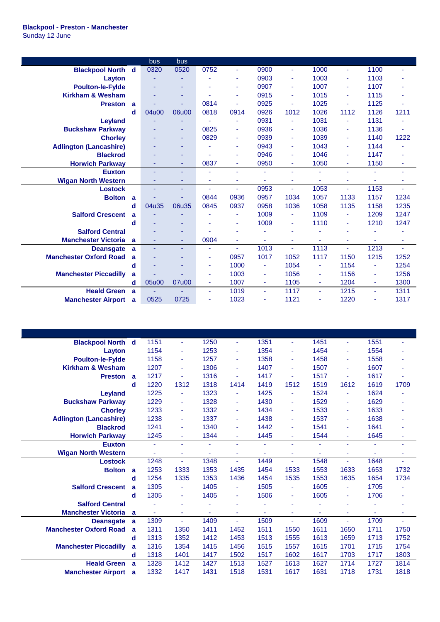|                                    | bus   | bus                      |      |      |                |                          |      |      |      |      |
|------------------------------------|-------|--------------------------|------|------|----------------|--------------------------|------|------|------|------|
| <b>Blackpool North</b><br>d        | 0320  | 0520                     | 0752 | ٠    | 0900           | $\overline{\phantom{a}}$ | 1000 |      | 1100 | ä,   |
| Layton                             |       |                          |      |      | 0903           | $\blacksquare$           | 1003 |      | 1103 |      |
| <b>Poulton-le-Fylde</b>            |       | ٠                        |      | ٠    | 0907           | ÷                        | 1007 | ٠    | 1107 |      |
| <b>Kirkham &amp; Wesham</b>        |       |                          |      | ۰    | 0915           | $\blacksquare$           | 1015 |      | 1115 |      |
| <b>Preston</b><br>a                |       |                          | 0814 | ٠    | 0925           | ä,                       | 1025 |      | 1125 | ä,   |
| d                                  | 04u00 | 06u00                    | 0818 | 0914 | 0926           | 1012                     | 1026 | 1112 | 1126 | 1211 |
| <b>Leyland</b>                     |       |                          |      | ۰    | 0931           | ä,                       | 1031 |      | 1131 |      |
| <b>Buckshaw Parkway</b>            |       | ٠                        | 0825 | ٠    | 0936           | ٠                        | 1036 |      | 1136 |      |
| <b>Chorley</b>                     |       | ٠                        | 0829 | ٠    | 0939           | $\blacksquare$           | 1039 |      | 1140 | 1222 |
| <b>Adlington (Lancashire)</b>      |       |                          |      | ٠    | 0943           | ÷,                       | 1043 | ٠    | 1144 |      |
| <b>Blackrod</b>                    |       |                          |      |      | 0946           | ÷                        | 1046 |      | 1147 | ۰    |
| <b>Horwich Parkway</b>             |       | ٠                        | 0837 | ٠    | 0950           | $\blacksquare$           | 1050 | ٠    | 1150 | ٠    |
| <b>Euxton</b>                      |       | $\overline{\phantom{a}}$ |      | ä,   | ٠              | ä,                       |      |      |      | ٠    |
| <b>Wigan North Western</b>         | ٠     | ٠                        | ٠    | ÷    | ä,             |                          |      |      | ٠    | ٠    |
| <b>Lostock</b>                     |       | ٠                        |      | ÷    | 0953           | ä,                       | 1053 |      | 1153 | ä,   |
| <b>Bolton</b><br>a                 |       |                          | 0844 | 0936 | 0957           | 1034                     | 1057 | 1133 | 1157 | 1234 |
| d                                  | 04u35 | 06u35                    | 0845 | 0937 | 0958           | 1036                     | 1058 | 1135 | 1158 | 1235 |
| <b>Salford Crescent</b><br>a       |       |                          |      | ۰    | 1009           | $\overline{\phantom{a}}$ | 1109 |      | 1209 | 1247 |
| d                                  |       | ٠                        |      | ٠    | 1009           | ÷                        | 1110 | ٠    | 1210 | 1247 |
| <b>Salford Central</b>             |       |                          |      |      |                |                          |      |      |      |      |
| <b>Manchester Victoria</b><br>a    |       | ٠                        | 0904 | ٠    | ä,             |                          |      |      |      | ٠    |
| <b>Deansgate</b><br>a              | ÷     | $\overline{\phantom{a}}$ | ٠    | ٠    | 1013           | ä,                       | 1113 |      | 1213 |      |
| <b>Manchester Oxford Road</b><br>a |       |                          | ٠    | 0957 | 1017           | 1052                     | 1117 | 1150 | 1215 | 1252 |
| d                                  |       |                          | ٠    | 1000 |                | 1054                     | ٠    | 1154 | ٠    | 1254 |
| <b>Manchester Piccadilly</b><br>a  |       |                          | ۰    | 1003 | ÷              | 1056                     | ÷    | 1156 | ٠    | 1256 |
| d                                  | 05u00 | 07u00                    | ٠    | 1007 | $\blacksquare$ | 1105                     | ٠    | 1204 | ٠    | 1300 |
| <b>Heald Green</b><br>a            |       |                          | ٠    | 1019 | ÷.             | 1117                     | ٠    | 1215 | ä,   | 1311 |
| <b>Manchester Airport</b><br>a     | 0525  | 0725                     |      | 1023 | ٠              | 1121                     | ٠    | 1220 | ٠    | 1317 |

| <b>Blackpool North d</b>      |   | 1151           | ٠    | 1250 | ÷              | 1351 | $\blacksquare$           | 1451 |      | 1551 |      |
|-------------------------------|---|----------------|------|------|----------------|------|--------------------------|------|------|------|------|
| Layton                        |   | 1154           | ٠    | 1253 | ÷              | 1354 | ä,                       | 1454 |      | 1554 |      |
| <b>Poulton-le-Fylde</b>       |   | 1158           | ٠    | 1257 | ٠              | 1358 | ä,                       | 1458 |      | 1558 |      |
| <b>Kirkham &amp; Wesham</b>   |   | 1207           | ٠    | 1306 | ÷              | 1407 | $\blacksquare$           | 1507 |      | 1607 | ٠    |
| <b>Preston</b>                | a | 1217           | ٠    | 1316 |                | 1417 |                          | 1517 |      | 1617 | ä,   |
|                               | d | 1220           | 1312 | 1318 | 1414           | 1419 | 1512                     | 1519 | 1612 | 1619 | 1709 |
| <b>Leyland</b>                |   | 1225           | ٠    | 1323 |                | 1425 | ä,                       | 1524 |      | 1624 |      |
| <b>Buckshaw Parkway</b>       |   | 1229           | ٠    | 1328 | ÷              | 1430 | ÷                        | 1529 |      | 1629 | ٠    |
| <b>Chorley</b>                |   | 1233           | ٠    | 1332 | ٠              | 1434 | $\overline{\phantom{a}}$ | 1533 |      | 1633 | ٠    |
| <b>Adlington (Lancashire)</b> |   | 1238           | ٠    | 1337 | $\blacksquare$ | 1438 | $\blacksquare$           | 1537 |      | 1638 | ٠    |
| <b>Blackrod</b>               |   | 1241           | ٠    | 1340 | $\sim$         | 1442 | ä,                       | 1541 | ٠    | 1641 | ۰    |
| <b>Horwich Parkway</b>        |   | 1245           | ٠    | 1344 | ٠              | 1445 | ä,                       | 1544 |      | 1645 | ٠    |
| <b>Euxton</b>                 |   | ÷              | ٠    | ٠    | $\blacksquare$ | ä,   | ä,                       | ٠    | ÷.   | ä,   | ٠    |
| <b>Wigan North Western</b>    |   | ٠              | ٠    |      | ٠              |      | ÷                        |      |      |      | ٠    |
| <b>Lostock</b>                |   | 1248           | ٠    | 1348 | $\sim$         | 1449 | ä,                       | 1548 |      | 1648 |      |
| <b>Bolton</b>                 | a | 1253           | 1333 | 1353 | 1435           | 1454 | 1533                     | 1553 | 1633 | 1653 | 1732 |
|                               | d | 1254           | 1335 | 1353 | 1436           | 1454 | 1535                     | 1553 | 1635 | 1654 | 1734 |
| <b>Salford Crescent</b>       | a | 1305           | Ξ    | 1405 | ٠              | 1505 | ä,                       | 1605 | ٠    | 1705 |      |
|                               | d | 1305           | ٠    | 1405 | ٠              | 1506 | ٠                        | 1605 |      | 1706 |      |
| <b>Salford Central</b>        |   |                | ٠    |      |                |      |                          |      |      |      | ٠    |
| <b>Manchester Victoria</b>    | a | $\blacksquare$ | ٠    | ٠    | ٠              | ٠    | ÷                        |      | ٠    |      | ٠    |
| <b>Deansgate</b>              | a | 1309           | ä,   | 1409 | ÷              | 1509 | ÷.                       | 1609 |      | 1709 |      |
| <b>Manchester Oxford Road</b> | a | 1311           | 1350 | 1411 | 1452           | 1511 | 1550                     | 1611 | 1650 | 1711 | 1750 |
|                               | d | 1313           | 1352 | 1412 | 1453           | 1513 | 1555                     | 1613 | 1659 | 1713 | 1752 |
| <b>Manchester Piccadilly</b>  | a | 1316           | 1354 | 1415 | 1456           | 1515 | 1557                     | 1615 | 1701 | 1715 | 1754 |
|                               | d | 1318           | 1401 | 1417 | 1502           | 1517 | 1602                     | 1617 | 1703 | 1717 | 1803 |
| <b>Heald Green</b>            | a | 1328           | 1412 | 1427 | 1513           | 1527 | 1613                     | 1627 | 1714 | 1727 | 1814 |
| <b>Manchester Airport</b>     | a | 1332           | 1417 | 1431 | 1518           | 1531 | 1617                     | 1631 | 1718 | 1731 | 1818 |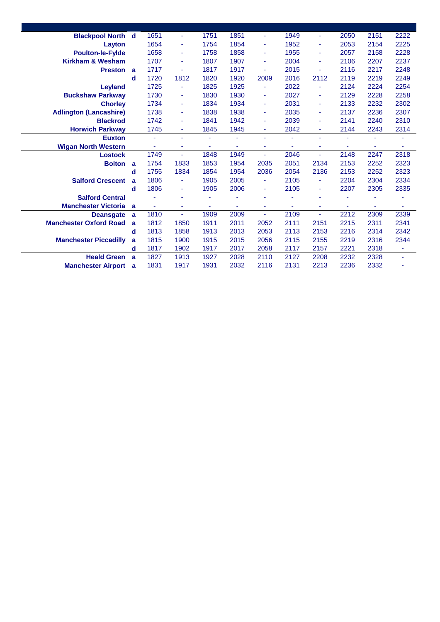| <b>Blackpool North d</b>      |             | 1651 | $\sim$         | 1751 | 1851           | ٠    | 1949 | $\blacksquare$ | 2050 | 2151           | 2222           |
|-------------------------------|-------------|------|----------------|------|----------------|------|------|----------------|------|----------------|----------------|
| Layton                        |             | 1654 | $\blacksquare$ | 1754 | 1854           | ٠    | 1952 | $\blacksquare$ | 2053 | 2154           | 2225           |
| <b>Poulton-le-Fylde</b>       |             | 1658 | ٠              | 1758 | 1858           | ٠    | 1955 | ٠              | 2057 | 2158           | 2228           |
| <b>Kirkham &amp; Wesham</b>   |             | 1707 | ٠              | 1807 | 1907           | ٠    | 2004 | $\blacksquare$ | 2106 | 2207           | 2237           |
| <b>Preston</b>                | a           | 1717 | ٠              | 1817 | 1917           |      | 2015 | ٠              | 2116 | 2217           | 2248           |
|                               | $\mathbf d$ | 1720 | 1812           | 1820 | 1920           | 2009 | 2016 | 2112           | 2119 | 2219           | 2249           |
| <b>Leyland</b>                |             | 1725 | ٠              | 1825 | 1925           | ٠    | 2022 | ÷              | 2124 | 2224           | 2254           |
| <b>Buckshaw Parkway</b>       |             | 1730 | ٠              | 1830 | 1930           | ٠    | 2027 | ٠              | 2129 | 2228           | 2258           |
| <b>Chorley</b>                |             | 1734 | $\blacksquare$ | 1834 | 1934           | ٠    | 2031 | $\blacksquare$ | 2133 | 2232           | 2302           |
| <b>Adlington (Lancashire)</b> |             | 1738 | $\blacksquare$ | 1838 | 1938           | ٠    | 2035 | $\blacksquare$ | 2137 | 2236           | 2307           |
| <b>Blackrod</b>               |             | 1742 | $\blacksquare$ | 1841 | 1942           | ٠    | 2039 | $\blacksquare$ | 2141 | 2240           | 2310           |
| <b>Horwich Parkway</b>        |             | 1745 | ٠              | 1845 | 1945           | ٠    | 2042 | ٠              | 2144 | 2243           | 2314           |
| <b>Euxton</b>                 |             | ä,   | ä,             |      | ä,             | ٠    | ä,   | ÷,             |      |                | ÷              |
| <b>Wigan North Western</b>    |             | ä,   | ٠              | ٠    | ä,             | ٠    | ٠    | ٠              |      | ÷              | ۰              |
| <b>Lostock</b>                |             | 1749 | ٠              | 1848 | 1949           | ٠    | 2046 | ٠              | 2148 | 2247           | 2318           |
| <b>Bolton</b>                 | a           | 1754 | 1833           | 1853 | 1954           | 2035 | 2051 | 2134           | 2153 | 2252           | 2323           |
|                               | d           | 1755 | 1834           | 1854 | 1954           | 2036 | 2054 | 2136           | 2153 | 2252           | 2323           |
| <b>Salford Crescent</b>       | a           | 1806 | $\blacksquare$ | 1905 | 2005           | ٠    | 2105 | $\blacksquare$ | 2204 | 2304           | 2334           |
|                               | d           | 1806 | ٠              | 1905 | 2006           | ٠    | 2105 | ٠              | 2207 | 2305           | 2335           |
| <b>Salford Central</b>        |             |      | ä,             |      |                | ٠    |      |                |      |                |                |
| <b>Manchester Victoria</b>    | a           | ä,   | ۰              | ٠    | $\blacksquare$ | ٠    | ÷    | ٠              |      | $\blacksquare$ | ٠              |
| <b>Deansgate</b>              | a           | 1810 | ٠              | 1909 | 2009           | ÷    | 2109 | ä,             | 2212 | 2309           | 2339           |
| <b>Manchester Oxford Road</b> | a           | 1812 | 1850           | 1911 | 2011           | 2052 | 2111 | 2151           | 2215 | 2311           | 2341           |
|                               | d           | 1813 | 1858           | 1913 | 2013           | 2053 | 2113 | 2153           | 2216 | 2314           | 2342           |
| <b>Manchester Piccadilly</b>  | a           | 1815 | 1900           | 1915 | 2015           | 2056 | 2115 | 2155           | 2219 | 2316           | 2344           |
|                               | d           | 1817 | 1902           | 1917 | 2017           | 2058 | 2117 | 2157           | 2221 | 2318           | $\blacksquare$ |
| <b>Heald Green</b>            | a           | 1827 | 1913           | 1927 | 2028           | 2110 | 2127 | 2208           | 2232 | 2328           | ٠              |
| <b>Manchester Airport</b>     | a           | 1831 | 1917           | 1931 | 2032           | 2116 | 2131 | 2213           | 2236 | 2332           |                |
|                               |             |      |                |      |                |      |      |                |      |                |                |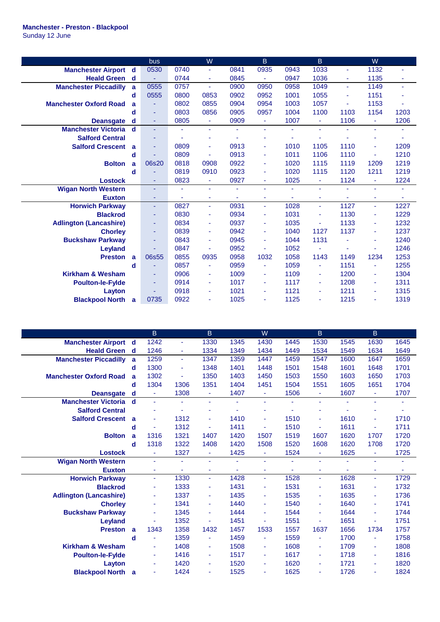## **Manchester - Preston - Blackpool**

Sunday 12 June

|                               |   | bus   |                | W              |      | $\mathsf B$ |      | B.             |                | W                     |      |
|-------------------------------|---|-------|----------------|----------------|------|-------------|------|----------------|----------------|-----------------------|------|
| <b>Manchester Airport</b>     | d | 0530  | 0740           | ÷.             | 0841 | 0935        | 0943 | 1033           | ÷              | 1132                  | ä,   |
| <b>Heald Green</b>            | d | ÷,    | 0744           | $\sim$         | 0845 | ÷           | 0947 | 1036           |                | 1135                  |      |
| <b>Manchester Piccadilly</b>  | a | 0555  | 0757           | $\sim$         | 0900 | 0950        | 0958 | 1049           | ÷.             | 1149                  | ÷    |
|                               | d | 0555  | 0800           | 0853           | 0902 | 0952        | 1001 | 1055           |                | 1151                  | ÷    |
| <b>Manchester Oxford Road</b> | a | ٠     | 0802           | 0855           | 0904 | 0954        | 1003 | 1057           | ٠              | 1153                  |      |
|                               | d | ٠     | 0803           | 0856           | 0905 | 0957        | 1004 | 1100           | 1103           | 1154                  | 1203 |
| <b>Deansgate</b>              | d | ٠     | 0805           | $\blacksquare$ | 0909 | ٠           | 1007 | ٠              | 1106           | $\blacksquare$        | 1206 |
| <b>Manchester Victoria</b>    | d | ٠     |                | ä,             |      | ٠           | ٠    | ٠              |                | ÷.                    |      |
| <b>Salford Central</b>        |   | ٠     |                |                |      | ۰           |      |                |                |                       |      |
| <b>Salford Crescent</b>       | a |       | 0809           |                | 0913 | ٠           | 1010 | 1105           | 1110           |                       | 1209 |
|                               | d |       | 0809           | ä,             | 0913 | ٠           | 1011 | 1106           | 1110           | $\blacksquare$        | 1210 |
| <b>Bolton</b>                 | a | 06s20 | 0818           | 0908           | 0922 | ٠           | 1020 | 1115           | 1119           | 1209                  | 1219 |
|                               | d |       | 0819           | 0910           | 0923 | ٠           | 1020 | 1115           | 1120           | 1211                  | 1219 |
| <b>Lostock</b>                |   | ä,    | 0823           | ٠              | 0927 | ٠           | 1025 | $\blacksquare$ | 1124           | ÷                     | 1224 |
| <b>Wigan North Western</b>    |   | ä,    | $\blacksquare$ | $\sim$         | ٠    | ٠           | ä,   | ÷              |                | ÷,                    |      |
| <b>Euxton</b>                 |   | ٠     | ÷              | $\blacksquare$ | ÷    | ٠           | ÷    | ٠              | $\blacksquare$ | ٠                     | ۰    |
| <b>Horwich Parkway</b>        |   | ٠     | 0827           | ÷.             | 0931 | ÷           | 1028 | ÷              | 1127           | $\blacksquare$        | 1227 |
| <b>Blackrod</b>               |   | ٠     | 0830           | $\blacksquare$ | 0934 | ٠           | 1031 | ÷              | 1130           | ÷                     | 1229 |
| <b>Adlington (Lancashire)</b> |   | ٠     | 0834           | ٠              | 0937 | ٠           | 1035 | ٠              | 1133           | $\blacksquare$        | 1232 |
| <b>Chorley</b>                |   | Ξ     | 0839           | $\sim$         | 0942 | ٠           | 1040 | 1127           | 1137           | ÷                     | 1237 |
| <b>Buckshaw Parkway</b>       |   | ٠     | 0843           |                | 0945 | ä,          | 1044 | 1131           |                | ٠                     | 1240 |
| Leyland                       |   |       | 0847           | ÷              | 0952 | ۰           | 1052 | ٠              |                | $\tilde{\phantom{a}}$ | 1246 |
| <b>Preston</b>                | a | 06s55 | 0855           | 0935           | 0958 | 1032        | 1058 | 1143           | 1149           | 1234                  | 1253 |
|                               | d | ٠     | 0857           |                | 0959 | ٠           | 1059 | ٠              | 1151           | $\blacksquare$        | 1255 |
| <b>Kirkham &amp; Wesham</b>   |   | ٠     | 0906           |                | 1009 | ٠           | 1109 | ٠              | 1200           | $\blacksquare$        | 1304 |
| <b>Poulton-le-Fylde</b>       |   | ÷.    | 0914           | ٠              | 1017 | ٠           | 1117 | ٠              | 1208           | ÷                     | 1311 |
| Layton                        |   |       | 0918           | $\blacksquare$ | 1021 | ٠           | 1121 | ۰              | 1211           | $\blacksquare$        | 1315 |
| <b>Blackpool North</b>        | a | 0735  | 0922           |                | 1025 | ٠           | 1125 |                | 1215           | $\sim$                | 1319 |

|                               |             | B        |                | $\overline{B}$ |      | W    |      | $\mathsf B$    |      | $\overline{B}$ |      |
|-------------------------------|-------------|----------|----------------|----------------|------|------|------|----------------|------|----------------|------|
| <b>Manchester Airport</b>     | d           | 1242     | ÷              | 1330           | 1345 | 1430 | 1445 | 1530           | 1545 | 1630           | 1645 |
| <b>Heald Green</b>            | d           | 1246     | ÷              | 1334           | 1349 | 1434 | 1449 | 1534           | 1549 | 1634           | 1649 |
| <b>Manchester Piccadilly</b>  | a           | 1259     | ä,             | 1347           | 1359 | 1447 | 1459 | 1547           | 1600 | 1647           | 1659 |
|                               | d           | 1300     | ٠              | 1348           | 1401 | 1448 | 1501 | 1548           | 1601 | 1648           | 1701 |
| <b>Manchester Oxford Road</b> | a           | 1302     | $\blacksquare$ | 1350           | 1403 | 1450 | 1503 | 1550           | 1603 | 1650           | 1703 |
|                               | d           | 1304     | 1306           | 1351           | 1404 | 1451 | 1504 | 1551           | 1605 | 1651           | 1704 |
| <b>Deansgate</b>              | d           | ÷.       | 1308           |                | 1407 | ٠    | 1506 | $\blacksquare$ | 1607 | ÷              | 1707 |
| <b>Manchester Victoria</b>    | $\mathbf d$ | ÷        |                | ÷.             | ÷.   | ٠    |      | $\blacksquare$ |      | ä,             |      |
| <b>Salford Central</b>        |             |          |                |                |      |      |      |                |      |                |      |
| <b>Salford Crescent</b>       | a           | ÷        | 1312           |                | 1410 | ٠    | 1510 | $\blacksquare$ | 1610 | ٠              | 1710 |
|                               | d           |          | 1312           |                | 1411 | ä,   | 1510 | $\blacksquare$ | 1611 | ٠              | 1711 |
| <b>Bolton</b>                 | a           | 1316     | 1321           | 1407           | 1420 | 1507 | 1519 | 1607           | 1620 | 1707           | 1720 |
|                               | d           | 1318     | 1322           | 1408           | 1420 | 1508 | 1520 | 1608           | 1620 | 1708           | 1720 |
| <b>Lostock</b>                |             | ٠        | 1327           | Ξ              | 1425 | ٠    | 1524 | ٠              | 1625 | ٠              | 1725 |
| <b>Wigan North Western</b>    |             | ÷        | $\blacksquare$ |                | ÷.   | ä,   |      | $\blacksquare$ |      | ÷.             | ۰    |
| <b>Euxton</b>                 |             | ÷        | ٠              |                | ÷.   | ۰    |      | ٠              |      | ٠              | ۰    |
| <b>Horwich Parkway</b>        |             | $\omega$ | 1330           | ÷              | 1428 | ÷    | 1528 | $\blacksquare$ | 1628 | ÷              | 1729 |
| <b>Blackrod</b>               |             | ÷        | 1333           | ٠              | 1431 | ٠    | 1531 | ٠              | 1631 | ÷              | 1732 |
| <b>Adlington (Lancashire)</b> |             | ٠        | 1337           | $\blacksquare$ | 1435 | ۰    | 1535 | ٠              | 1635 | ٠              | 1736 |
| <b>Chorley</b>                |             | ÷        | 1341           |                | 1440 | ٠    | 1540 | $\blacksquare$ | 1640 | ä,             | 1741 |
| <b>Buckshaw Parkway</b>       |             | ä,       | 1345           | ٠              | 1444 | ٠    | 1544 | $\blacksquare$ | 1644 | ä,             | 1744 |
| Leyland                       |             |          | 1352           |                | 1451 | ä,   | 1551 | ÷              | 1651 | ٠              | 1751 |
| <b>Preston</b>                | a           | 1343     | 1358           | 1432           | 1457 | 1533 | 1557 | 1637           | 1656 | 1734           | 1757 |
|                               | d           |          | 1359           |                | 1459 |      | 1559 | ٠              | 1700 |                | 1758 |
| <b>Kirkham &amp; Wesham</b>   |             | ÷        | 1408           | ٠              | 1508 | ٠    | 1608 | ÷              | 1709 | ٠              | 1808 |
| <b>Poulton-le-Fylde</b>       |             | ٠        | 1416           | ٠              | 1517 | ۰    | 1617 | ٠              | 1718 | ٠              | 1816 |
| Layton                        |             | ÷        | 1420           |                | 1520 | ٠    | 1620 | ٠              | 1721 | ٠              | 1820 |
| <b>Blackpool North</b>        | a           | Ξ        | 1424           |                | 1525 | ٠    | 1625 | ٠              | 1726 |                | 1824 |